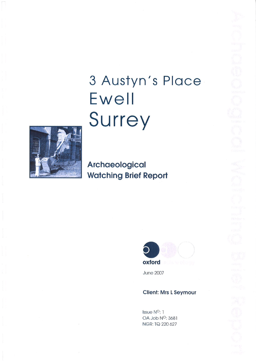# 3 Austyn's Place Ewell Surrey



Archaeological **Watching Brief Report** 



**June 2007** 

## **Client: Mrs L Seymour**

Issue N<sup>O</sup>: 1 OA Job N<sup>o</sup>: 3681 NGR: TQ 220 627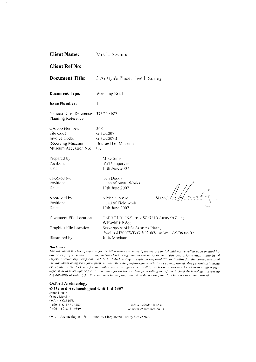| <b>Client Name:</b><br>Mrs L. Seymour                      |                                                           |  |  |  |  |
|------------------------------------------------------------|-----------------------------------------------------------|--|--|--|--|
| <b>Client Ref No:</b>                                      |                                                           |  |  |  |  |
| <b>Document Title:</b>                                     | 3 Austyn's Place, Ewell, Surrey                           |  |  |  |  |
| <b>Document Type:</b>                                      | Watching Brief                                            |  |  |  |  |
| <b>Issue Number:</b>                                       | $\mathbf l$                                               |  |  |  |  |
| National Grid Reference: TQ 220 627<br>Planning Reference: |                                                           |  |  |  |  |
| OA Job Number:<br>Site Code:                               | 3681<br>GHO2007                                           |  |  |  |  |
| Invoice Code:<br>Receiving Museum:<br>Museum Accession No: | GHO2007B<br><b>Bourne Hall Museum</b><br>tbe              |  |  |  |  |
| Prepared by:                                               | Mike Sims                                                 |  |  |  |  |
| Position:<br>Date:                                         | <b>SWD Supervisor</b><br>11th June 2007                   |  |  |  |  |
| Checked by:<br>Position:                                   | Dan Dodds<br>Head of Small Works                          |  |  |  |  |
| Date.                                                      | 12th June 2007                                            |  |  |  |  |
| Approved by:                                               | Signe<br>Nick Shepherd                                    |  |  |  |  |
| Position:<br>Date:                                         | Head of Field work<br>12th June 2007                      |  |  |  |  |
| Document File Location                                     | H:\PROJECTS\Surrey SR\7810 Austyn's Place<br>WB\wbREP.doc |  |  |  |  |
| Graphics File Location                                     | Servergo/AtoH/St Austyns Place,                           |  |  |  |  |
| Illustrated by                                             | Ewell/GH2007WB/GHO2007/jm/Amd GS/08.06.07<br>Julia Moxham |  |  |  |  |

#### Disclaimer:

This document has been prepared for the titled project or named part thereof and should not be relied upon or used for any other project without an independent check being carried out as to its suitability and prior written authority of Oxford Archaeology being obtained. Oxford Archaeology accepts no responsibility or liability for the consequences of this document being used for a purpose other than the purposes for which it was commissioned. Any person/party using or relying on the document for such other purposes agrees, and will by such use or reliance be taken to confirm their agreement to indemnify Oxford Archaeology for all loss or damage resulting therefrom. Oxford Archaeology accepts no responsibility or liability for this document to any party other than the person party by whom it was commissioned.

## **Oxford Archaeology** © Oxford Archaeological Unit Ltd 2007

Janus House Osney Mead Oxford OX2 0ES 1: (0044) 01865 263800 f: (0044) 01865 793496

e info@oxfordarch.co.uk w: www.oxfordarch.co.uk  $\ddot{\phantom{a}}$ 

Oxford Archaeological Unit Limited is a Registered Charity No: 285627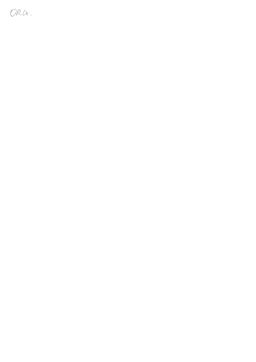ORG-

 $\label{eq:2.1} \frac{1}{\sqrt{2}}\int_{\mathbb{R}^3}\frac{1}{\sqrt{2}}\left(\frac{1}{\sqrt{2}}\right)^2\frac{1}{\sqrt{2}}\left(\frac{1}{\sqrt{2}}\right)^2\frac{1}{\sqrt{2}}\left(\frac{1}{\sqrt{2}}\right)^2\frac{1}{\sqrt{2}}\left(\frac{1}{\sqrt{2}}\right)^2.$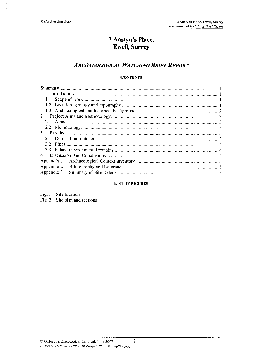# 3 Austyn's Place, **Ewell, Surrey**

# **ARCHAEOLOGICAL WATCHING BRIEF REPORT**

## **CONTENTS**

| $\mathbf{1}$ |  |  |  |  |  |  |
|--------------|--|--|--|--|--|--|
|              |  |  |  |  |  |  |
|              |  |  |  |  |  |  |
|              |  |  |  |  |  |  |
| $\mathbf{2}$ |  |  |  |  |  |  |
| 2.1          |  |  |  |  |  |  |
|              |  |  |  |  |  |  |
|              |  |  |  |  |  |  |
|              |  |  |  |  |  |  |
| 3<br>4       |  |  |  |  |  |  |
|              |  |  |  |  |  |  |
|              |  |  |  |  |  |  |
| Appendix 1   |  |  |  |  |  |  |
| Appendix 2   |  |  |  |  |  |  |
| Appendix 3   |  |  |  |  |  |  |
|              |  |  |  |  |  |  |

## **LIST OF FIGURES**

Fig.  $1$ Site location Fig. 2 Site plan and sections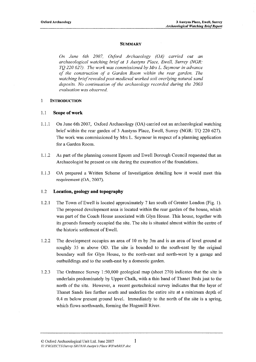## **SUMMARY**

On June 6th 2007, Oxford Archaeology (OA) carried out an archaeological watching brief at 3 Austyns Place, Ewell, Surrey (NGR: TO 220 627). The work was commissioned by Mrs L. Seymour in advance of the construction of a Garden Room within the rear garden. The watching brief revealed post-medieval worked soil overlying natural sand deposits. No continuation of the archaeology recorded during the 2003 evaluation was observed.

#### **INTRODUCTION**  $\mathbf{1}$

#### $1.1$ **Scope of work**

- On June 6th 2007, Oxford Archaeology (OA) carried out an archaeological watching  $1.1.1$ brief within the rear garden of 3 Austyns Place, Ewell, Surrey (NGR: TQ 220 627). The work was commissioned by Mrs L. Seymour in respect of a planning application for a Garden Room.
- $1.1.2$ As part of the planning consent Epsom and Ewell Borough Council requested that an Archaeologist be present on site during the excavation of the foundations.
- $1.1.3$ OA prepared a Written Scheme of Investigation detailing how it would meet this requirement (OA, 2007).

#### $1.2$ Location, geology and topography

- $1.2.1$ The Town of Ewell is located approximately 7 km south of Greater London (Fig. 1). The proposed development area is located within the rear garden of the house, which was part of the Coach House associated with Glyn House. This house, together with its grounds formerly occupied the site. The site is situated almost within the centre of the historic settlement of Ewell.
- 1.2.2 The development occupies an area of 10 m by 3m and is an area of level ground at roughly 35 m above OD. The site is bounded to the south-east by the original boundary wall for Glyn House, to the north-east and north-west by a garage and outbuildings and to the south-east by a domestic garden.
- The Ordnance Survey  $1:50,000$  geological map (sheet 270) indicates that the site is 1.2.3 underlain predominately by Upper Chalk, with a thin band of Thanet Beds just to the north of the site. However, a recent geotechnical survey indicates that the layer of Thanet Sands lies further south and underlies the entire site at a minimum depth of 0.4 m below present ground level. Immediately to the north of the site is a spring, which flows northwards, forming the Hogsmill River.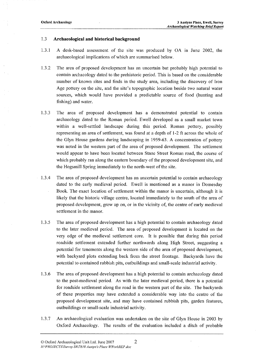#### $1.3$ Archaeological and historical background

- $1.3.1$ A desk-based assessment of the site was produced by OA in June 2002, the archaeological implications of which are summarised below.
- 1.3.2 The area of proposed development has an uncertain but probably high potential to contain archaeology dated to the prehistoric period. This is based on the considerable number of known sites and finds in the study area, including the discovery of Iron Age pottery on the site, and the site's topographic location beside two natural water sources, which would have provided a predictable source of food (hunting and fishing) and water.
- 1.3.3 The area of proposed development has a demonstrated potential to contain archaeology dated to the Roman period. Ewell developed as a small market town within a well-settled landscape during this period. Roman pottery, possibly representing an area of settlement, was found at a depth of 1-2 ft across the whole of the Glyn House gardens during landscaping in 1959-63. A concentration of pottery was noted in the western part of the area of proposed development. The settlement would appear to have been located between Stane Street Roman road, the course of which probably ran along the eastern boundary of the proposed development site, and the Hogsmill Spring immediately to the north-west of the site.
- $-1.3.4$ The area of proposed development has an uncertain potential to contain archaeology dated to the early medieval period. Ewell is mentioned as a manor in Domesday Book. The exact location of settlement within the manor is uncertain, although it is likely that the historic village centre, located immediately to the south of the area of proposed development, grew up on, or in the vicinity of, the centre of early medieval settlement in the manor.
	- 1.3.5 The area of proposed development has a high potential to contain archaeology dated to the later medieval period. The area of proposed development is located on the very edge of the medieval settlement core. It is possible that during this period roadside settlement extended further northwards along High Street, suggesting a potential for tenements along the western side of the area of proposed development, with backyard plots extending back from the street frontage. Backyards have the potential to contained rubbish pits, outbuildings and small-scale industrial activity.
	- 1.3.6 The area of proposed development has a high potential to contain archaeology dated to the post-medieval period. As with the later medieval period, there is a potential for roadside settlement along the road in the western part of the site. The backyards of these properties may have extended a considerable way into the centre of the proposed development site, and may have contained rubbish pits, garden features, outbuildings or small-scale industrial activity.
	- 1.3.7 An archaeological evaluation was undertaken on the site of Glyn House in 2003 by Oxford Archaeology. The results of the evaluation included a ditch of probable

 $\lambda$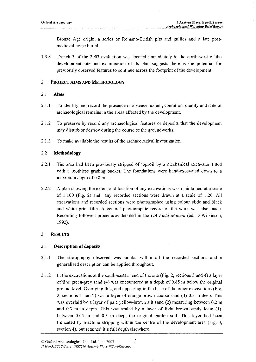Bronze Age origin, a series of Romano-British pits and gullies and a late postmedieval horse burial.

1.3.8 Trench 3 of the 2003 evaluation was located immediately to the north-west of the development site and examination of its plan suggests there is the potential for previously observed features to continue across the footprint of the development.

#### $\overline{2}$ PROJECT AIMS AND METHODOLOGY

#### $2.1$ Aims

- $2.1.1$ To identify and record the presence or absence, extent, condition, quality and date of archaeological remains in the areas affected by the development.
- 2.1.2 To preserve by record any archaeological features or deposits that the development may disturb or destroy during the course of the groundworks.
- $2.1.3$ To make available the results of the archaeological investigation.

#### $2.2$ Methodology

- $2.2.1$ The area had been previously stripped of topsoil by a mechanical excavator fitted with a toothless grading bucket. The foundations were hand-excavated down to a maximum depth of 0.8 m.
- $2.2.2$ A plan showing the extent and location of any excavations was maintained at a scale of 1:100 (Fig. 2) and any recorded sections were drawn at a scale of 1:20. All excavations and recorded sections were photographed using colour slide and black and white print film. A general photographic record of the work was also made. Recording followed procedures detailed in the OA Field Manual (ed. D Wilkinson, 1992).

#### 3 **RESULTS**

#### **Description of deposits**  $3.1$

- $3.1.1$ The stratigraphy observed was similar within all the recorded sections and a generalised description can be applied throughout.
- In the excavations at the south-eastern end of the site (Fig. 2, sections 3 and 4) a layer  $3.1:2$ of fine green-grey sand  $(4)$  was encountered at a depth of 0.85 m below the original ground level. Overlying this, and appearing in the base of the other excavations (Fig. 2, sections 1 and 2) was a layer of orange brown coarse sand (3) 0.3 m deep. This was overlaid by a layer of pale yellow-brown silt sand (2) measuring between 0.2 m and 0.3 m in depth. This was sealed by a layer of light brown sandy loam (1), between 0.05 m and 0.3 m deep, the original garden soil. This layer had been truncated by machine stripping within the centre of the development area (Fig. 3, section 4), but retained it's full depth elsewhere.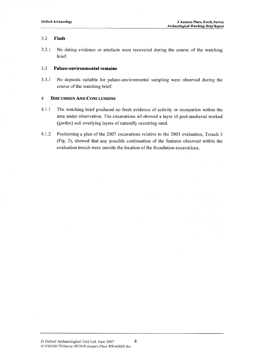$\sim 10^7$ 

 $\mathcal{O}(\log n)$  , and  $\mathcal{O}(\log n)$  $\label{eq:2} \mathcal{L} = \left\{ \mathcal{L} \left( \mathcal{L} \right) \right\} \left( \mathcal{L} \left( \mathcal{L} \right) \right) \left( \mathcal{L} \left( \mathcal{L} \right) \right) \right\}$ 

and the company

#### $3.2$ Finds

 $3.2.1$ No dating evidence or artefacts were recovered during the course of the watching brief.

#### $3.3$ Palaeo-environmental remains

3.3.1 No deposits suitable for palaeo-environmental sampling were observed during the course of the watching brief.

#### $\overline{4}$ **DISCUSSION AND CONCLUSIONS**

- $4.1.1$ The watching brief produced no fresh evidence of activity or occupation within the area under observation. The excavations all showed a layer of post-medieval worked (garden) soil overlying layers of naturally occurring sand.
- Positioning a plan of the 2007 excavations relative to the 2003 evaluation, Trench 3 4.1.2 (Fig. 2), showed that any possible continuation of the features observed within the evaluation trench were outside the location of the foundation excavations.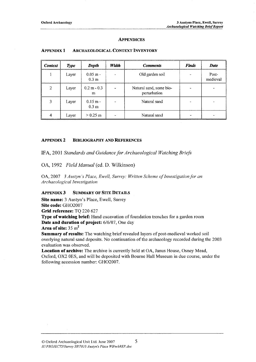## **APPENDICES**

| <b>Context</b> | <b>Type</b> | Depth                          | Width | <b>Comments</b>                         | <b>Finds</b> | <b>Date</b>       |
|----------------|-------------|--------------------------------|-------|-----------------------------------------|--------------|-------------------|
|                | Layer       | $0.05$ m -<br>0.3 <sub>m</sub> |       | Old garden soil                         |              | Post-<br>medieval |
| 2              | Layer       | $0.2 m - 0.3$<br>m             |       | Natural sand, some bio-<br>perturbation |              |                   |
| 3              | Layer       | $0.15 m -$<br>0.3 <sub>m</sub> |       | Natural sand                            |              |                   |
| 4              | Layer       | $> 0.25 \text{ m}$             |       | Natural sand                            |              |                   |

#### **APPENDIX 1 ARCHAEOLOGICAL CONTEXT INVENTORY**

#### **APPENDIX 2 BIBLIOGRAPHY AND REFERENCES**

IFA, 2001 Standards and Guidance for Archaeological Watching Briefs

OA, 1992 Field Manual (ed. D. Wilkinson)

OA, 2007 3 Austyn's Place, Ewell, Surrey: Written Scheme of Investigation for an Archaeological Investigation

#### **APPENDIX 3 SUMMARY OF SITE DETAILS**

Site name: 3 Austyn's Place, Ewell, Surrey Site code: GHO2007 Grid reference: TQ 220 627

Type of watching brief: Hand excavation of foundation trenches for a garden room **Date and duration of project:** 6/6/07, One day

Area of site:  $35 \text{ m}^2$ 

**Summary of results:** The watching brief revealed layers of post-medieval worked soil overlying natural sand deposits. No continuation of the archaeology recorded during the 2003 evaluation was observed.

Location of archive: The archive is currently held at OA, Janus House, Osney Mead, Oxford, OX2 0ES, and will be deposited with Bourne Hall Museum in due course, under the following accession number: GHO2007.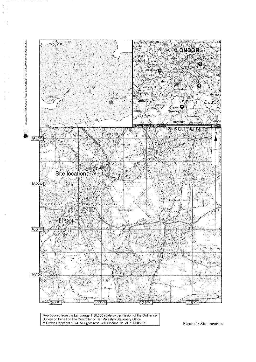

Reproduced from the Landranger1:50,000 scale by permission of the Ordnance<br>Survey on behalf of The Controller of Her Majesty's Stationery Office Crown Copyright 1974. All rights reserved. Licence No. AL 100005569

Figure 1: Site location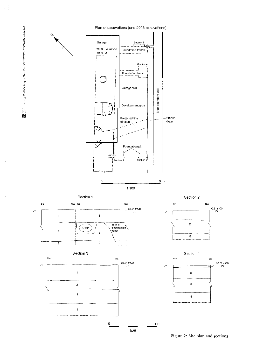

Figure 2: Site plan and sections